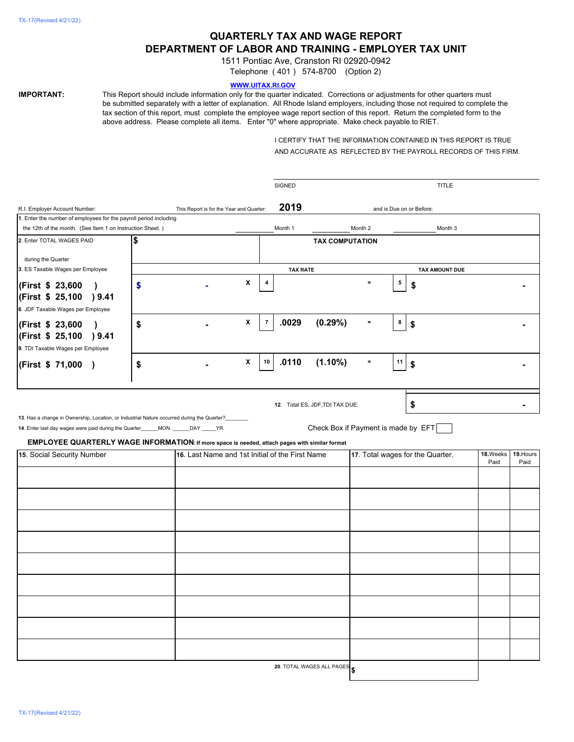# **QUARTERLY TAX AND WAGE REPORT DEPARTMENT OF LABOR AND TRAINING - EMPLOYER TAX UNIT**

1511 Pontiac Ave, Cranston RI 02920-0942

Telephone ( 401 ) 574-8700 (Option 2)

## **WWW.UITAX.RI.GOV**

**IMPORTANT:** This Report should include information only for the quarter indicated. Corrections or adjustments for other quarters must be submitted separately with a letter of explanation. All Rhode Island employers, including those not required to complete the tax section of this report, must complete the employee wage report section of this report. Return the completed form to the above address. Please complete all items. Enter "0" where appropriate. Make check payable to RIET.

> I CERTIFY THAT THE INFORMATION CONTAINED IN THIS REPORT IS TRUE AND ACCURATE AS REFLECTED BY THE PAYROLL RECORDS OF THIS FIRM.

|                                                                                                                                                                                                                                                                                  |    |                                          |                                                 | <b>SIGNED</b>                     |                                                                        |          |    | TITLE                            |          |           |
|----------------------------------------------------------------------------------------------------------------------------------------------------------------------------------------------------------------------------------------------------------------------------------|----|------------------------------------------|-------------------------------------------------|-----------------------------------|------------------------------------------------------------------------|----------|----|----------------------------------|----------|-----------|
| R.I. Employer Account Number:                                                                                                                                                                                                                                                    |    | This Report is for the Year and Quarter: |                                                 |                                   | and is Due on or Before:                                               |          |    |                                  |          |           |
| 1. Enter the number of employees for the payroll period including                                                                                                                                                                                                                |    |                                          |                                                 |                                   |                                                                        |          |    |                                  |          |           |
| the 12th of the month. (See Item 1 on Instruction Sheet.)                                                                                                                                                                                                                        |    |                                          |                                                 | Month 1                           |                                                                        | Month 2  |    | Month 3                          |          |           |
| 2. Enter TOTAL WAGES PAID                                                                                                                                                                                                                                                        | \$ |                                          |                                                 |                                   | <b>TAX COMPUTATION</b>                                                 |          |    |                                  |          |           |
| during the Quarter                                                                                                                                                                                                                                                               |    |                                          |                                                 |                                   |                                                                        |          |    |                                  |          |           |
| 3. ES Taxable Wages per Employee                                                                                                                                                                                                                                                 |    |                                          |                                                 | <b>TAX RATE</b>                   |                                                                        |          |    | <b>TAX AMOUNT DUE</b>            |          |           |
| (First \$ 23,600<br>$\lambda$<br>(First \$ 25,100 ) 9.41                                                                                                                                                                                                                         | \$ |                                          | X                                               |                                   |                                                                        | $\equiv$ | 5  | \$                               |          |           |
| 6. JDF Taxable Wages per Employee                                                                                                                                                                                                                                                |    |                                          |                                                 |                                   |                                                                        |          |    |                                  |          |           |
| (First \$ 23,600<br>$\lambda$<br>(First \$ 25,100 ) 9.41<br>9. TDI Taxable Wages per Employee                                                                                                                                                                                    | \$ |                                          | x                                               | .0029<br>$\overline{\phantom{a}}$ | (0.29%)                                                                | $=$      | 8  | \$                               |          |           |
| (First \$ 71,000)                                                                                                                                                                                                                                                                | \$ |                                          | X                                               | .0110<br>10                       | $(1.10\%)$                                                             | $\equiv$ | 11 | \$                               |          |           |
| 13. Has a change in Ownership, Location, or Industrial Nature occurred during the Quarter?<br>14. Enter last day wages were paid during the Quarter_____MON. _____DAY _____YR.<br>EMPLOYEE QUARTERLY WAGE INFORMATION: If more space is needed, attach pages with similar format |    |                                          |                                                 |                                   | 12. Total ES, JDF, TDI TAX DUE:<br>Check Box if Payment is made by EFT |          |    | \$                               |          |           |
| 15. Social Security Number                                                                                                                                                                                                                                                       |    |                                          | 16. Last Name and 1st Initial of the First Name |                                   |                                                                        |          |    | 17. Total wages for the Quarter. | 18.Weeks | 19. Hours |
|                                                                                                                                                                                                                                                                                  |    |                                          |                                                 |                                   |                                                                        |          |    |                                  | Paid     | Paid      |
|                                                                                                                                                                                                                                                                                  |    |                                          |                                                 |                                   |                                                                        |          |    |                                  |          |           |
|                                                                                                                                                                                                                                                                                  |    |                                          |                                                 |                                   |                                                                        |          |    |                                  |          |           |
|                                                                                                                                                                                                                                                                                  |    |                                          |                                                 |                                   |                                                                        |          |    |                                  |          |           |
|                                                                                                                                                                                                                                                                                  |    |                                          |                                                 |                                   |                                                                        |          |    |                                  |          |           |
|                                                                                                                                                                                                                                                                                  |    |                                          |                                                 |                                   |                                                                        |          |    |                                  |          |           |
|                                                                                                                                                                                                                                                                                  |    |                                          |                                                 |                                   |                                                                        |          |    |                                  |          |           |
|                                                                                                                                                                                                                                                                                  |    |                                          |                                                 |                                   |                                                                        |          |    |                                  |          |           |
|                                                                                                                                                                                                                                                                                  |    |                                          |                                                 |                                   |                                                                        |          |    |                                  |          |           |
|                                                                                                                                                                                                                                                                                  |    |                                          |                                                 |                                   |                                                                        |          |    |                                  |          |           |
|                                                                                                                                                                                                                                                                                  |    |                                          |                                                 |                                   |                                                                        |          |    |                                  |          |           |
|                                                                                                                                                                                                                                                                                  |    |                                          |                                                 |                                   |                                                                        |          |    |                                  |          |           |

**20**. TOTAL WAGES ALL PAGES

**\$**